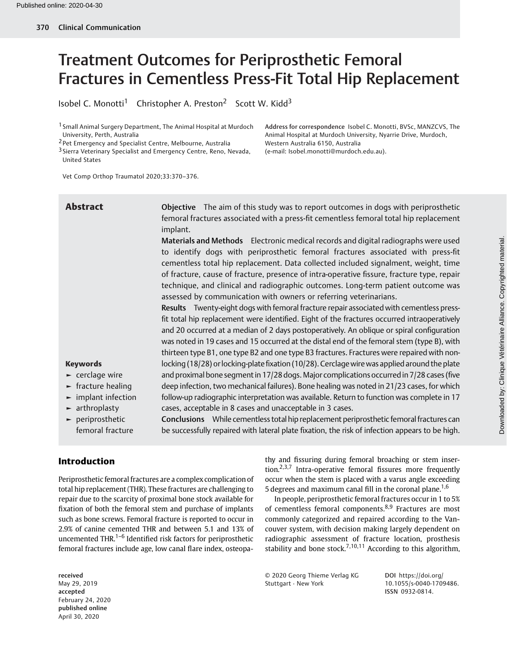# Treatment Outcomes for Periprosthetic Femoral Fractures in Cementless Press-Fit Total Hip Replacement

Isobel C. Monotti<sup>1</sup> Christopher A. Preston<sup>2</sup> Scott W. Kidd<sup>3</sup>

1 Small Animal Surgery Department, The Animal Hospital at Murdoch University, Perth, Australia

2 Pet Emergency and Specialist Centre, Melbourne, Australia

<sup>3</sup> Sierra Veterinary Specialist and Emergency Centre, Reno, Nevada, United States

Address for correspondence Isobel C. Monotti, BVSc, MANZCVS, The Animal Hospital at Murdoch University, Nyarrie Drive, Murdoch, Western Australia 6150, Australia (e-mail: [Isobel.monotti@murdoch.edu.au](mailto:Isobel.monotti@murdoch.edu.au)).

Vet Comp Orthop Traumatol 2020;33:370–376.

Abstract Objective The aim of this study was to report outcomes in dogs with periprosthetic femoral fractures associated with a press-fit cementless femoral total hip replacement implant.

> Materials and Methods Electronic medical records and digital radiographs were used to identify dogs with periprosthetic femoral fractures associated with press-fit cementless total hip replacement. Data collected included signalment, weight, time of fracture, cause of fracture, presence of intra-operative fissure, fracture type, repair technique, and clinical and radiographic outcomes. Long-term patient outcome was assessed by communication with owners or referring veterinarians.

> Results Twenty-eight dogs with femoral fracture repair associated with cementless pressfit total hip replacement were identified. Eight of the fractures occurred intraoperatively and 20 occurred at a median of 2 days postoperatively. An oblique or spiral configuration was noted in 19 cases and 15 occurred at the distal end of the femoral stem (type B), with thirteen type B1, one type B2 and one type B3 fractures. Fractures were repaired with nonlocking (18/28) or locking-plate fixation (10/28). Cerclage wire was applied around the plate and proximal bone segment in 17/28 dogs. Major complications occurred in 7/28 cases (five deep infection, two mechanical failures). Bone healing was noted in 21/23 cases, for which follow-up radiographic interpretation was available. Return to function was complete in 17 cases, acceptable in 8 cases and unacceptable in 3 cases.

Keywords  $\blacktriangleright$  cerclage wire

- $\blacktriangleright$  fracture healing
- ► implant infection
- ► arthroplasty
- ► periprosthetic femoral fracture

Conclusions While cementless total hip replacement periprosthetic femoral fractures can be successfully repaired with lateral plate fixation, the risk of infection appears to be high.

# Introduction

Periprosthetic femoral fractures are a complex complication of total hip replacement (THR). These fractures are challenging to repair due to the scarcity of proximal bone stock available for fixation of both the femoral stem and purchase of implants such as bone screws. Femoral fracture is reported to occur in 2.9% of canine cemented THR and between 5.1 and 13% of uncemented THR. $<sup>1-6</sup>$  Identified risk factors for periprosthetic</sup> femoral fractures include age, low canal flare index, osteopa-

received May 29, 2019 accepted February 24, 2020 published online April 30, 2020

thy and fissuring during femoral broaching or stem insertion.2,3,7 Intra-operative femoral fissures more frequently occur when the stem is placed with a varus angle exceeding 5 degrees and maximum canal fill in the coronal plane.<sup>1,6</sup>

In people, periprosthetic femoral fractures occur in 1 to 5% of cementless femoral components.<sup>8,9</sup> Fractures are most commonly categorized and repaired according to the Vancouver system, with decision making largely dependent on radiographic assessment of fracture location, prosthesis stability and bone stock.<sup>7,10,11</sup> According to this algorithm,

© 2020 Georg Thieme Verlag KG Stuttgart · New York

DOI [https://doi.org/](https://doi.org/10.1055/s-0040-1709486) [10.1055/s-0040-1709486.](https://doi.org/10.1055/s-0040-1709486) ISSN 0932-0814.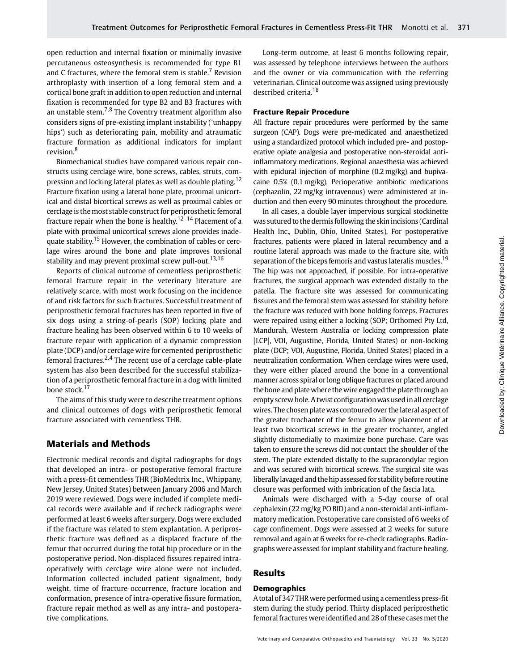open reduction and internal fixation or minimally invasive percutaneous osteosynthesis is recommended for type B1 and C fractures, where the femoral stem is stable.<sup>7</sup> Revision arthroplasty with insertion of a long femoral stem and a cortical bone graft in addition to open reduction and internal fixation is recommended for type B2 and B3 fractures with an unstable stem. $^{7,8}$  The Coventry treatment algorithm also considers signs of pre-existing implant instability ('unhappy hips') such as deteriorating pain, mobility and atraumatic fracture formation as additional indicators for implant revision.<sup>8</sup>

Biomechanical studies have compared various repair constructs using cerclage wire, bone screws, cables, struts, compression and locking lateral plates as well as double plating.<sup>12</sup> Fracture fixation using a lateral bone plate, proximal unicortical and distal bicortical screws as well as proximal cables or cerclage is themost stable construct for periprosthetic femoral fracture repair when the bone is healthy.<sup>12–14</sup> Placement of a plate with proximal unicortical screws alone provides inadequate stability.<sup>15</sup> However, the combination of cables or cerclage wires around the bone and plate improves torsional stability and may prevent proximal screw pull-out.<sup>13,16</sup>

Reports of clinical outcome of cementless periprosthetic femoral fracture repair in the veterinary literature are relatively scarce, with most work focusing on the incidence of and risk factors for such fractures. Successful treatment of periprosthetic femoral fractures has been reported in five of six dogs using a string-of-pearls (SOP) locking plate and fracture healing has been observed within 6 to 10 weeks of fracture repair with application of a dynamic compression plate (DCP) and/or cerclage wire for cemented periprosthetic femoral fractures. $2,4$  The recent use of a cerclage cable-plate system has also been described for the successful stabilization of a periprosthetic femoral fracture in a dog with limited bone stock.<sup>17</sup>

The aims of this study were to describe treatment options and clinical outcomes of dogs with periprosthetic femoral fracture associated with cementless THR.

# Materials and Methods

Electronic medical records and digital radiographs for dogs that developed an intra- or postoperative femoral fracture with a press-fit cementless THR (BioMedtrix Inc., Whippany, New Jersey, United States) between January 2006 and March 2019 were reviewed. Dogs were included if complete medical records were available and if recheck radiographs were performed at least 6 weeks after surgery. Dogs were excluded if the fracture was related to stem explantation. A periprosthetic fracture was defined as a displaced fracture of the femur that occurred during the total hip procedure or in the postoperative period. Non-displaced fissures repaired intraoperatively with cerclage wire alone were not included. Information collected included patient signalment, body weight, time of fracture occurrence, fracture location and conformation, presence of intra-operative fissure formation, fracture repair method as well as any intra- and postoperative complications.

Long-term outcome, at least 6 months following repair, was assessed by telephone interviews between the authors and the owner or via communication with the referring veterinarian. Clinical outcome was assigned using previously described criteria.<sup>18</sup>

### Fracture Repair Procedure

All fracture repair procedures were performed by the same surgeon (CAP). Dogs were pre-medicated and anaesthetized using a standardized protocol which included pre- and postoperative opiate analgesia and postoperative non-steroidal antiinflammatory medications. Regional anaesthesia was achieved with epidural injection of morphine (0.2 mg/kg) and bupivacaine 0.5% (0.1 mg/kg). Perioperative antibiotic medications (cephazolin, 22 mg/kg intravenous) were administered at induction and then every 90 minutes throughout the procedure.

In all cases, a double layer impervious surgical stockinette was sutured to the dermis following the skin incisions (Cardinal Health Inc., Dublin, Ohio, United States). For postoperative fractures, patients were placed in lateral recumbency and a routine lateral approach was made to the fracture site, with separation of the biceps femoris and vastus lateralis muscles.<sup>19</sup> The hip was not approached, if possible. For intra-operative fractures, the surgical approach was extended distally to the patella. The fracture site was assessed for communicating fissures and the femoral stem was assessed for stability before the fracture was reduced with bone holding forceps. Fractures were repaired using either a locking (SOP; Orthomed Pty Ltd, Mandurah, Western Australia or locking compression plate [LCP], VOI, Augustine, Florida, United States) or non-locking plate (DCP; VOI, Augustine, Florida, United States) placed in a neutralization conformation. When cerclage wires were used, they were either placed around the bone in a conventional manner across spiral or long oblique fractures or placed around the bone and plate where the wire engaged the plate through an empty screw hole. A twist configurationwas used in all cerclage wires. The chosen plate was contoured over the lateral aspect of the greater trochanter of the femur to allow placement of at least two bicortical screws in the greater trochanter, angled slightly distomedially to maximize bone purchase. Care was taken to ensure the screws did not contact the shoulder of the stem. The plate extended distally to the supracondylar region and was secured with bicortical screws. The surgical site was liberally lavaged and the hip assessed for stability before routine closure was performed with imbrication of the fascia lata.

Animals were discharged with a 5-day course of oral cephalexin (22 mg/kg PO BID) and a non-steroidal anti-inflammatory medication. Postoperative care consisted of 6 weeks of cage confinement. Dogs were assessed at 2 weeks for suture removal and again at 6 weeks for re-check radiographs. Radiographs were assessed for implant stability and fracture healing.

# Results

### Demographics

A total of 347 THR were performed using a cementless press-fit stem during the study period. Thirty displaced periprosthetic femoral fractures were identified and 28 of these cases met the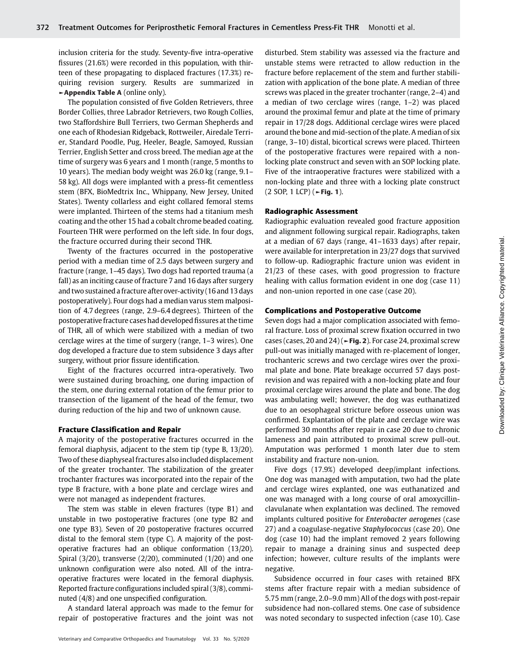inclusion criteria for the study. Seventy-five intra-operative fissures (21.6%) were recorded in this population, with thirteen of these propagating to displaced fractures (17.3%) requiring revision surgery. Results are summarized in ►Appendix Table A (online only).

The population consisted of five Golden Retrievers, three Border Collies, three Labrador Retrievers, two Rough Collies, two Staffordshire Bull Terriers, two German Shepherds and one each of Rhodesian Ridgeback, Rottweiler, Airedale Terrier, Standard Poodle, Pug, Heeler, Beagle, Samoyed, Russian Terrier, English Setter and cross breed. The median age at the time of surgery was 6 years and 1 month (range, 5 months to 10 years). The median body weight was 26.0 kg (range, 9.1– 58 kg). All dogs were implanted with a press-fit cementless stem (BFX, BioMedtrix Inc., Whippany, New Jersey, United States). Twenty collarless and eight collared femoral stems were implanted. Thirteen of the stems had a titanium mesh coating and the other 15 had a cobalt chrome beaded coating. Fourteen THR were performed on the left side. In four dogs, the fracture occurred during their second THR.

Twenty of the fractures occurred in the postoperative period with a median time of 2.5 days between surgery and fracture (range, 1–45 days). Two dogs had reported trauma (a fall) as an inciting cause of fracture 7 and 16 days after surgery and two sustained a fracture after over-activity (16 and 13 days postoperatively). Four dogs had a median varus stem malposition of 4.7 degrees (range, 2.9–6.4 degrees). Thirteen of the postoperative fracture cases had developed fissures at the time of THR, all of which were stabilized with a median of two cerclage wires at the time of surgery (range, 1–3 wires). One dog developed a fracture due to stem subsidence 3 days after surgery, without prior fissure identification.

Eight of the fractures occurred intra-operatively. Two were sustained during broaching, one during impaction of the stem, one during external rotation of the femur prior to transection of the ligament of the head of the femur, two during reduction of the hip and two of unknown cause.

#### Fracture Classification and Repair

A majority of the postoperative fractures occurred in the femoral diaphysis, adjacent to the stem tip (type B, 13/20). Two of these diaphyseal fractures also included displacement of the greater trochanter. The stabilization of the greater trochanter fractures was incorporated into the repair of the type B fracture, with a bone plate and cerclage wires and were not managed as independent fractures.

The stem was stable in eleven fractures (type B1) and unstable in two postoperative fractures (one type B2 and one type B3). Seven of 20 postoperative fractures occurred distal to the femoral stem (type C). A majority of the postoperative fractures had an oblique conformation (13/20). Spiral (3/20), transverse (2/20), comminuted (1/20) and one unknown configuration were also noted. All of the intraoperative fractures were located in the femoral diaphysis. Reported fracture configurations included spiral (3/8), comminuted (4/8) and one unspecified configuration.

A standard lateral approach was made to the femur for repair of postoperative fractures and the joint was not

disturbed. Stem stability was assessed via the fracture and unstable stems were retracted to allow reduction in the fracture before replacement of the stem and further stabilization with application of the bone plate. A median of three screws was placed in the greater trochanter (range, 2–4) and a median of two cerclage wires (range, 1–2) was placed around the proximal femur and plate at the time of primary repair in 17/28 dogs. Additional cerclage wires were placed around the bone and mid-section of the plate. A median of six (range, 3–10) distal, bicortical screws were placed. Thirteen of the postoperative fractures were repaired with a nonlocking plate construct and seven with an SOP locking plate. Five of the intraoperative fractures were stabilized with a non-locking plate and three with a locking plate construct  $(2 SOP, 1 LCP)$  ( $\sim$ Fig. 1).

#### Radiographic Assessment

Radiographic evaluation revealed good fracture apposition and alignment following surgical repair. Radiographs, taken at a median of 67 days (range, 41–1633 days) after repair, were available for interpretation in 23/27 dogs that survived to follow-up. Radiographic fracture union was evident in 21/23 of these cases, with good progression to fracture healing with callus formation evident in one dog (case 11) and non-union reported in one case (case 20).

#### Complications and Postoperative Outcome

Seven dogs had a major complication associated with femoral fracture. Loss of proximal screw fixation occurred in two cases (cases, 20 and 24) ( $\blacktriangleright$  Fig. 2). For case 24, proximal screw pull-out was initially managed with re-placement of longer, trochanteric screws and two cerclage wires over the proximal plate and bone. Plate breakage occurred 57 days postrevision and was repaired with a non-locking plate and four proximal cerclage wires around the plate and bone. The dog was ambulating well; however, the dog was euthanatized due to an oesophageal stricture before osseous union was confirmed. Explantation of the plate and cerclage wire was performed 30 months after repair in case 20 due to chronic lameness and pain attributed to proximal screw pull-out. Amputation was performed 1 month later due to stem instability and fracture non-union.

Five dogs (17.9%) developed deep/implant infections. One dog was managed with amputation, two had the plate and cerclage wires explanted, one was euthanatized and one was managed with a long course of oral amoxycillinclavulanate when explantation was declined. The removed implants cultured positive for Enterobacter aerogenes (case 27) and a coagulase-negative Staphylococcus (case 20). One dog (case 10) had the implant removed 2 years following repair to manage a draining sinus and suspected deep infection; however, culture results of the implants were negative.

Subsidence occurred in four cases with retained BFX stems after fracture repair with a median subsidence of 5.75 mm (range, 2.0–9.0 mm) All of the dogs with post-repair subsidence had non-collared stems. One case of subsidence was noted secondary to suspected infection (case 10). Case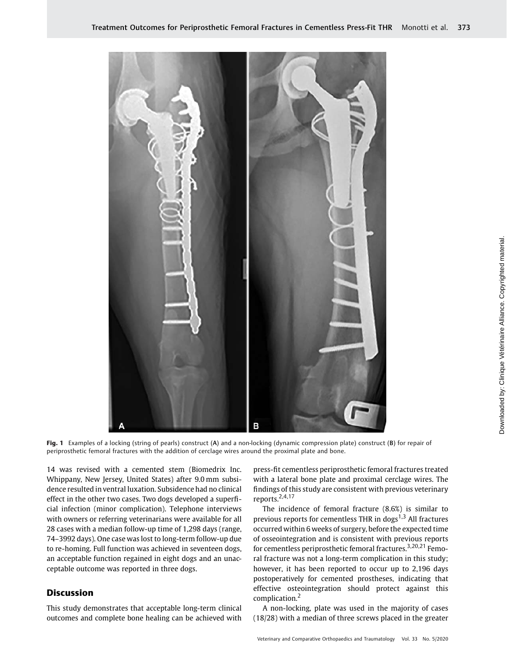

Fig. 1 Examples of a locking (string of pearls) construct (A) and a non-locking (dynamic compression plate) construct (B) for repair of periprosthetic femoral fractures with the addition of cerclage wires around the proximal plate and bone.

14 was revised with a cemented stem (Biomedrix Inc. Whippany, New Jersey, United States) after 9.0 mm subsidence resulted in ventral luxation. Subsidence had no clinical effect in the other two cases. Two dogs developed a superficial infection (minor complication). Telephone interviews with owners or referring veterinarians were available for all 28 cases with a median follow-up time of 1,298 days (range, 74–3992 days). One case was lost to long-term follow-up due to re-homing. Full function was achieved in seventeen dogs, an acceptable function regained in eight dogs and an unacceptable outcome was reported in three dogs.

# **Discussion**

This study demonstrates that acceptable long-term clinical outcomes and complete bone healing can be achieved with

press-fit cementless periprosthetic femoral fractures treated with a lateral bone plate and proximal cerclage wires. The findings of this study are consistent with previous veterinary reports.2,4,17

The incidence of femoral fracture (8.6%) is similar to previous reports for cementless THR in dogs $^{1,3}$  All fractures occurred within 6 weeks of surgery, before the expected time of osseointegration and is consistent with previous reports for cementless periprosthetic femoral fractures.<sup>3,20,21</sup> Femoral fracture was not a long-term complication in this study; however, it has been reported to occur up to 2,196 days postoperatively for cemented prostheses, indicating that effective osteointegration should protect against this complication.<sup>2</sup>

A non-locking, plate was used in the majority of cases (18/28) with a median of three screws placed in the greater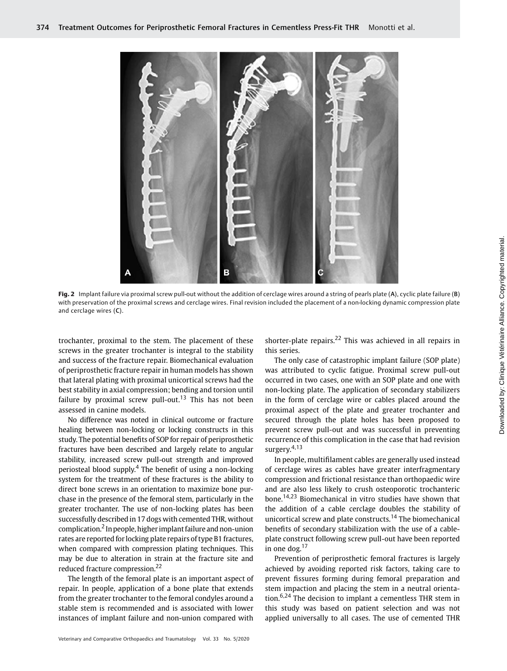

Fig. 2 Implant failure via proximal screw pull-out without the addition of cerclage wires around a string of pearls plate (A), cyclic plate failure (B) with preservation of the proximal screws and cerclage wires. Final revision included the placement of a non-locking dynamic compression plate and cerclage wires (C).

trochanter, proximal to the stem. The placement of these screws in the greater trochanter is integral to the stability and success of the fracture repair. Biomechanical evaluation of periprosthetic fracture repair in human models has shown that lateral plating with proximal unicortical screws had the best stability in axial compression; bending and torsion until failure by proximal screw pull-out.<sup>13</sup> This has not been assessed in canine models.

No difference was noted in clinical outcome or fracture healing between non-locking or locking constructs in this study. The potential benefits of SOP for repair of periprosthetic fractures have been described and largely relate to angular stability, increased screw pull-out strength and improved periosteal blood supply.<sup>4</sup> The benefit of using a non-locking system for the treatment of these fractures is the ability to direct bone screws in an orientation to maximize bone purchase in the presence of the femoral stem, particularly in the greater trochanter. The use of non-locking plates has been successfully described in 17 dogs with cemented THR, without complication.<sup>2</sup> In people, higher implant failure and non-union rates are reported for locking plate repairs of type B1 fractures, when compared with compression plating techniques. This may be due to alteration in strain at the fracture site and reduced fracture compression.<sup>22</sup>

The length of the femoral plate is an important aspect of repair. In people, application of a bone plate that extends from the greater trochanter to the femoral condyles around a stable stem is recommended and is associated with lower instances of implant failure and non-union compared with

shorter-plate repairs.<sup>22</sup> This was achieved in all repairs in this series.

The only case of catastrophic implant failure (SOP plate) was attributed to cyclic fatigue. Proximal screw pull-out occurred in two cases, one with an SOP plate and one with non-locking plate. The application of secondary stabilizers in the form of cerclage wire or cables placed around the proximal aspect of the plate and greater trochanter and secured through the plate holes has been proposed to prevent screw pull-out and was successful in preventing recurrence of this complication in the case that had revision surgery. $4,13$ 

In people, multifilament cables are generally used instead of cerclage wires as cables have greater interfragmentary compression and frictional resistance than orthopaedic wire and are also less likely to crush osteoporotic trochanteric bone.14,23 Biomechanical in vitro studies have shown that the addition of a cable cerclage doubles the stability of unicortical screw and plate constructs.<sup>14</sup> The biomechanical benefits of secondary stabilization with the use of a cableplate construct following screw pull-out have been reported in one dog. $17$ 

Prevention of periprosthetic femoral fractures is largely achieved by avoiding reported risk factors, taking care to prevent fissures forming during femoral preparation and stem impaction and placing the stem in a neutral orientation.6,24 The decision to implant a cementless THR stem in this study was based on patient selection and was not applied universally to all cases. The use of cemented THR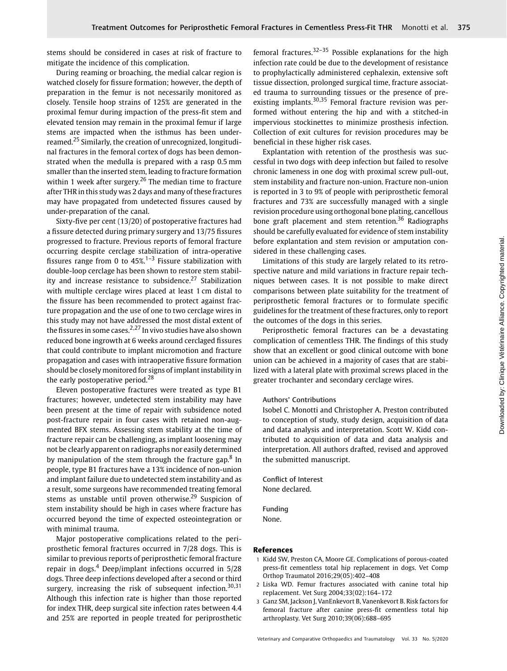stems should be considered in cases at risk of fracture to mitigate the incidence of this complication.

During reaming or broaching, the medial calcar region is watched closely for fissure formation; however, the depth of preparation in the femur is not necessarily monitored as closely. Tensile hoop strains of 125% are generated in the proximal femur during impaction of the press-fit stem and elevated tension may remain in the proximal femur if large stems are impacted when the isthmus has been underreamed.<sup>25</sup> Similarly, the creation of unrecognized, longitudinal fractures in the femoral cortex of dogs has been demonstrated when the medulla is prepared with a rasp 0.5 mm smaller than the inserted stem, leading to fracture formation within 1 week after surgery.<sup>26</sup> The median time to fracture after THR in this study was 2 days and many of these fractures may have propagated from undetected fissures caused by under-preparation of the canal.

Sixty-five per cent (13/20) of postoperative fractures had a fissure detected during primary surgery and 13/75 fissures progressed to fracture. Previous reports of femoral fracture occurring despite cerclage stabilization of intra-operative fissures range from 0 to  $45\%$ <sup>1-3</sup> Fissure stabilization with double-loop cerclage has been shown to restore stem stability and increase resistance to subsidence.<sup>27</sup> Stabilization with multiple cerclage wires placed at least 1 cm distal to the fissure has been recommended to protect against fracture propagation and the use of one to two cerclage wires in this study may not have addressed the most distal extent of the fissures in some cases.<sup>2,27</sup> In vivo studies have also shown reduced bone ingrowth at 6 weeks around cerclaged fissures that could contribute to implant micromotion and fracture propagation and cases with intraoperative fissure formation should be closely monitored for signs of implant instability in the early postoperative period.<sup>28</sup>

Eleven postoperative fractures were treated as type B1 fractures; however, undetected stem instability may have been present at the time of repair with subsidence noted post-fracture repair in four cases with retained non-augmented BFX stems. Assessing stem stability at the time of fracture repair can be challenging, as implant loosening may not be clearly apparent on radiographs nor easily determined by manipulation of the stem through the fracture gap.<sup>8</sup> In people, type B1 fractures have a 13% incidence of non-union and implant failure due to undetected stem instability and as a result, some surgeons have recommended treating femoral stems as unstable until proven otherwise.<sup>29</sup> Suspicion of stem instability should be high in cases where fracture has occurred beyond the time of expected osteointegration or with minimal trauma.

Major postoperative complications related to the periprosthetic femoral fractures occurred in 7/28 dogs. This is similar to previous reports of periprosthetic femoral fracture repair in dogs. $4$  Deep/implant infections occurred in 5/28 dogs. Three deep infections developed after a second or third surgery, increasing the risk of subsequent infection.<sup>30,31</sup> Although this infection rate is higher than those reported for index THR, deep surgical site infection rates between 4.4 and 25% are reported in people treated for periprosthetic femoral fractures.<sup>32-35</sup> Possible explanations for the high infection rate could be due to the development of resistance to prophylactically administered cephalexin, extensive soft tissue dissection, prolonged surgical time, fracture associated trauma to surrounding tissues or the presence of preexisting implants.<sup>30,35</sup> Femoral fracture revision was performed without entering the hip and with a stitched-in impervious stockinettes to minimize prosthesis infection. Collection of exit cultures for revision procedures may be beneficial in these higher risk cases.

Explantation with retention of the prosthesis was successful in two dogs with deep infection but failed to resolve chronic lameness in one dog with proximal screw pull-out, stem instability and fracture non-union. Fracture non-union is reported in 3 to 9% of people with periprosthetic femoral fractures and 73% are successfully managed with a single revision procedure using orthogonal bone plating, cancellous bone graft placement and stem retention.<sup>36</sup> Radiographs should be carefully evaluated for evidence of stem instability before explantation and stem revision or amputation considered in these challenging cases.

Limitations of this study are largely related to its retrospective nature and mild variations in fracture repair techniques between cases. It is not possible to make direct comparisons between plate suitability for the treatment of periprosthetic femoral fractures or to formulate specific guidelines for the treatment of these fractures, only to report the outcomes of the dogs in this series.

Periprosthetic femoral fractures can be a devastating complication of cementless THR. The findings of this study show that an excellent or good clinical outcome with bone union can be achieved in a majority of cases that are stabilized with a lateral plate with proximal screws placed in the greater trochanter and secondary cerclage wires.

#### Authors' Contributions

Isobel C. Monotti and Christopher A. Preston contributed to conception of study, study design, acquisition of data and data analysis and interpretation. Scott W. Kidd contributed to acquisition of data and data analysis and interpretation. All authors drafted, revised and approved the submitted manuscript.

Conflict of Interest None declared.

Funding None.

# References

- 1 Kidd SW, Preston CA, Moore GE. Complications of porous-coated press-fit cementless total hip replacement in dogs. Vet Comp Orthop Traumatol 2016;29(05):402–408
- 2 Liska WD. Femur fractures associated with canine total hip replacement. Vet Surg 2004;33(02):164–172
- 3 Ganz SM, Jackson J, VanEnkevort B, Vanenkevort B. Risk factors for femoral fracture after canine press-fit cementless total hip arthroplasty. Vet Surg 2010;39(06):688–695